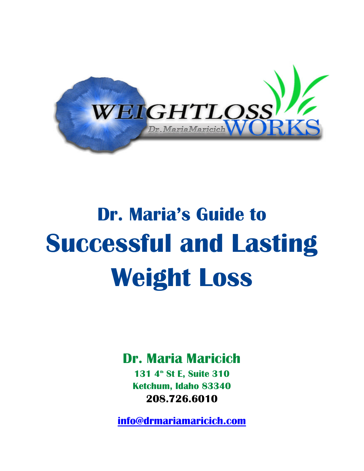

# **Dr. Maria's Guide to Successful and Lasting Weight Loss**

# **Dr. Maria Maricich**

**131 4th St E, Suite 310 Ketchum, Idaho 83340 208.726.6010**

**[info@drmariamaricich.com](mailto:info@drmariamaricich.com)**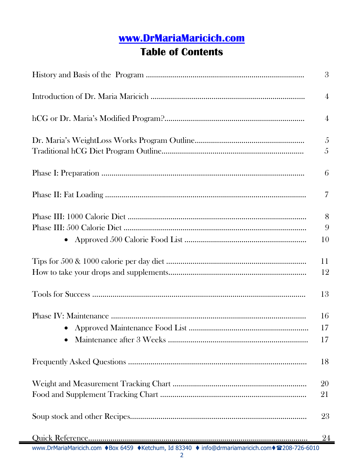# **[www.DrMariaMaricich.com](http://www.drmariamaricich.com/)**

# **Table of Contents**

|                                                                                                | 3       |
|------------------------------------------------------------------------------------------------|---------|
|                                                                                                | 4       |
|                                                                                                | 4       |
|                                                                                                | 5<br>5  |
|                                                                                                | 6       |
|                                                                                                | 7       |
|                                                                                                | 8       |
| $\bullet$                                                                                      | 9<br>10 |
|                                                                                                | 11      |
|                                                                                                | 12      |
|                                                                                                | 13      |
|                                                                                                | 16      |
|                                                                                                | 17      |
|                                                                                                | 17      |
|                                                                                                | 18      |
|                                                                                                | 20      |
|                                                                                                | 21      |
|                                                                                                | 23      |
|                                                                                                | 24      |
| www.DrMariaMaricich.com ♦Box 6459 ♦Ketchum, Id 83340 ♦ info@drmariamaricich.com ♦ 208-726-6010 |         |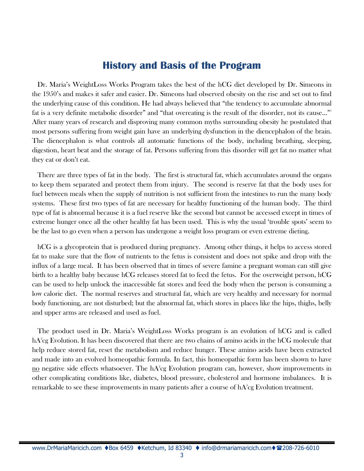### **History and Basis of the Program**

Dr. Maria's WeightLoss Works Program takes the best of the hCG diet developed by Dr. Simeons in the 1950's and makes it safer and easier. Dr. Simeons had observed obesity on the rise and set out to find the underlying cause of this condition. He had always believed that "the tendency to accumulate abnormal fat is a very definite metabolic disorder" and "that overeating is the result of the disorder, not its cause..." After many years of research and disproving many common myths surrounding obesity he postulated that most persons suffering from weight gain have an underlying dysfunction in the diencephalon of the brain. The diencephalon is what controls all automatic functions of the body, including breathing, sleeping, digestion, heart beat and the storage of fat. Persons suffering from this disorder will get fat no matter what they eat or don't eat.

There are three types of fat in the body. The first is structural fat, which accumulates around the organs to keep them separated and protect them from injury. The second is reserve fat that the body uses for fuel between meals when the supply of nutrition is not sufficient from the intestines to run the many body systems. These first two types of fat are necessary for healthy functioning of the human body. The third type of fat is abnormal because it is a fuel reserve like the second but cannot be accessed except in times of extreme hunger once all the other healthy fat has been used. This is why the usual 'trouble spots' seem to be the last to go even when a person has undergone a weight loss program or even extreme dieting.

hCG is a glycoprotein that is produced during pregnancy. Among other things, it helps to access stored fat to make sure that the flow of nutrients to the fetus is consistent and does not spike and drop with the influx of a large meal. It has been observed that in times of severe famine a pregnant woman can still give birth to a healthy baby because hCG releases stored fat to feed the fetus. For the overweight person, hCG can be used to help unlock the inaccessible fat stores and feed the body when the person is consuming a low calorie diet. The normal reserves and structural fat, which are very healthy and necessary for normal body functioning, are not disturbed; but the abnormal fat, which stores in places like the hips, thighs, belly and upper arms are released and used as fuel.

The product used in Dr. Maria's WeightLoss Works program is an evolution of hCG and is called  $\rm hA^2$ cg Evolution. It has been discovered that there are two chains of amino acids in the hCG molecule that help reduce stored fat, reset the metabolism and reduce hunger. These amino acids have been extracted and made into an evolved homeopathic formula. In fact, this homeopathic form has been shown to have <u>no</u> negative side effects whatsoever. The hA<sup>2</sup>cg Evolution program can, however, show improvements in other complicating conditions like, diabetes, blood pressure, cholesterol and hormone imbalances. It is remarkable to see these improvements in many patients after a course of  $\mathrm{hA}^2\mathrm{cg}$  Evolution treatment.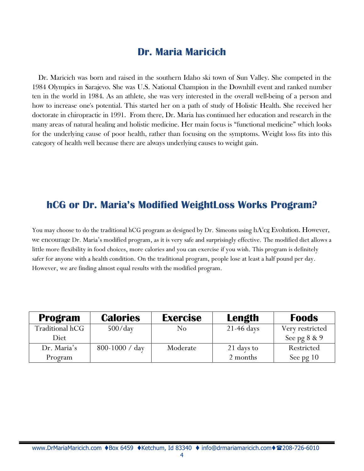# **Dr. Maria Maricich**

Dr. Maricich was born and raised in the southern Idaho ski town of Sun Valley. She competed in the 1984 Olympics in Sarajevo. She was U.S. National Champion in the Downhill event and ranked number ten in the world in 1984. As an athlete, she was very interested in the overall well-being of a person and how to increase one's potential. This started her on a path of study of Holistic Health. She received her doctorate in chiropractic in 1991. From there, Dr. Maria has continued her education and research in the many areas of natural healing and holistic medicine. Her main focus is "functional medicine" which looks for the underlying cause of poor health, rather than focusing on the symptoms. Weight loss fits into this category of health well because there are always underlying causes to weight gain.

### **hCG or Dr. Maria's Modified WeightLoss Works Program?**

You may choose to do the traditional hCG program as designed by Dr. Simeons using  $\rm hA^2$ cg Evolution. However, we encourage Dr. Maria's modified program, as it is very safe and surprisingly effective. The modified diet allows a little more flexibility in food choices, more calories and you can exercise if you wish. This program is definitely safer for anyone with a health condition. On the traditional program, people lose at least a half pound per day. However, we are finding almost equal results with the modified program.

| <b>Program</b>  | <b>Calories</b>    | <b>Exercise</b> | Length       | <b>Foods</b>    |
|-----------------|--------------------|-----------------|--------------|-----------------|
| Traditional hCG | $500$ /day         | No              | $21-46$ days | Very restricted |
| Diet            |                    |                 |              | See pg $8 \& 9$ |
| Dr. Maria's     | $800 - 1000 / day$ | Moderate        | 21 days to   | Restricted      |
| Program         |                    |                 | 2 months     | See pg 10       |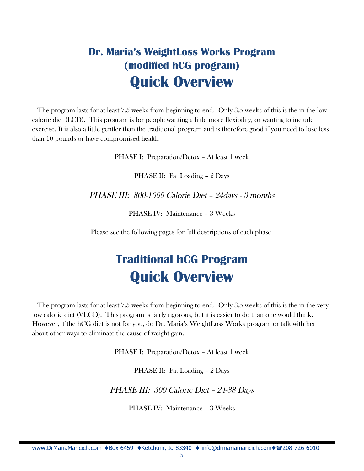# **Dr. Maria's WeightLoss Works Program (modified hCG program) Quick Overview**

The program lasts for at least 7.5 weeks from beginning to end. Only 3.5 weeks of this is the in the low calorie diet (LCD). This program is for people wanting a little more flexibility, or wanting to include exercise. It is also a little gentler than the traditional program and is therefore good if you need to lose less than 10 pounds or have compromised health

PHASE I: Preparation/Detox – At least 1 week

PHASE II: Fat Loading – 2 Days

PHASE III: 800-1000 Calorie Diet – 24days - <sup>3</sup> months

PHASE IV: Maintenance – 3 Weeks

Please see the following pages for full descriptions of each phase.

# **Traditional hCG Program Quick Overview**

The program lasts for at least 7.5 weeks from beginning to end. Only 3.5 weeks of this is the in the very low calorie diet (VLCD). This program is fairly rigorous, but it is easier to do than one would think. However, if the hCG diet is not for you, do Dr. Maria's WeightLoss Works program or talk with her about other ways to eliminate the cause of weight gain.

PHASE I: Preparation/Detox – At least 1 week

PHASE II: Fat Loading – 2 Days

PHASE III: <sup>500</sup> Calorie Diet – 24-38 Days

PHASE IV: Maintenance – 3 Weeks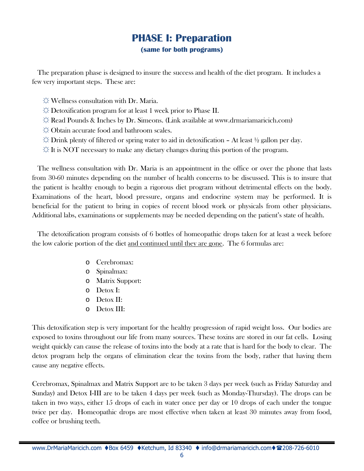### **PHASE I: Preparation (same for both programs)**

The preparation phase is designed to insure the success and health of the diet program. It includes a few very important steps. These are:

- $\Diamond$  Wellness consultation with Dr. Maria.
- $\Diamond$  Detoxification program for at least 1 week prior to Phase II.
- $\Im$  Read Pounds & Inches by Dr. Simeons. (Link available at www.drmariamaricich.com)
- $\Diamond$  Obtain accurate food and bathroom scales.
- $\Im$  Drink plenty of filtered or spring water to aid in detoxification At least  $\frac{1}{2}$  gallon per day.
- $\Im$  It is NOT necessary to make any dietary changes during this portion of the program.

The wellness consultation with Dr. Maria is an appointment in the office or over the phone that lasts from 30-60 minutes depending on the number of health concerns to be discussed. This is to insure that the patient is healthy enough to begin a rigorous diet program without detrimental effects on the body. Examinations of the heart, blood pressure, organs and endocrine system may be performed. It is beneficial for the patient to bring in copies of recent blood work or physicals from other physicians. Additional labs, examinations or supplements may be needed depending on the patient's state of health.

The detoxification program consists of 6 bottles of homeopathic drops taken for at least a week before the low calorie portion of the diet and continued until they are gone. The 6 formulas are:

- o Cerebromax:
- o Spinalmax:
- o Matrix Support:
- o Detox I:
- o Detox II:
- o Detox III:

This detoxification step is very important for the healthy progression of rapid weight loss. Our bodies are exposed to toxins throughout our life from many sources. These toxins are stored in our fat cells. Losing weight quickly can cause the release of toxins into the body at a rate that is hard for the body to clear. The detox program help the organs of elimination clear the toxins from the body, rather that having them cause any negative effects.

Cerebromax, Spinalmax and Matrix Support are to be taken 3 days per week (such as Friday Saturday and Sunday) and Detox I-III are to be taken 4 days per week (such as Monday-Thursday). The drops can be taken in two ways, either 15 drops of each in water once per day or 10 drops of each under the tongue twice per day. Homeopathic drops are most effective when taken at least 30 minutes away from food, coffee or brushing teeth.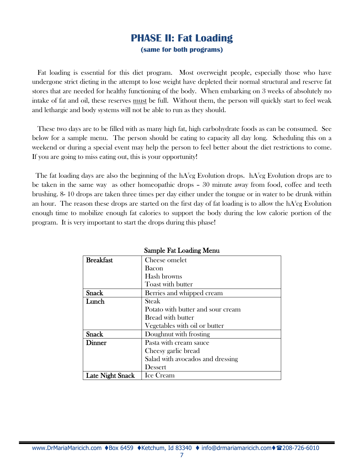### **PHASE II: Fat Loading (same for both programs)**

Fat loading is essential for this diet program. Most overweight people, especially those who have undergone strict dieting in the attempt to lose weight have depleted their normal structural and reserve fat stores that are needed for healthy functioning of the body. When embarking on 3 weeks of absolutely no intake of fat and oil, these reserves must be full. Without them, the person will quickly start to feel weak and lethargic and body systems will not be able to run as they should.

These two days are to be filled with as many high fat, high carbohydrate foods as can be consumed. See below for a sample menu. The person should be eating to capacity all day long. Scheduling this on a weekend or during a special event may help the person to feel better about the diet restrictions to come. If you are going to miss eating out, this is your opportunity!

The fat loading days are also the beginning of the  $\rm{hA}^{2}$ cg Evolution drops.  $\rm{hA}^{2}$ cg Evolution drops are to be taken in the same way as other homeopathic drops – 30 minute away from food, coffee and teeth brushing. 8- 10 drops are taken three times per day either under the tongue or in water to be drunk within an hour. The reason these drops are started on the first day of fat loading is to allow the  $\rm{hA}^2$ cg Evolution enough time to mobilize enough fat calories to support the body during the low calorie portion of the program. It is very important to start the drops during this phase!

| <b>Breakfast</b>        | Cheese omelet                     |
|-------------------------|-----------------------------------|
|                         | <b>Bacon</b>                      |
|                         | Hash browns                       |
|                         | Toast with butter                 |
| <b>Snack</b>            | Berries and whipped cream         |
| Lunch                   | Steak                             |
|                         | Potato with butter and sour cream |
|                         | <b>Bread with butter</b>          |
|                         | Vegetables with oil or butter     |
| <b>Snack</b>            | Doughnut with frosting            |
| Dinner                  | Pasta with cream sauce            |
|                         | Cheesy garlic bread               |
|                         | Salad with avocados and dressing  |
|                         | Dessert                           |
| <b>Late Night Snack</b> | <b>Ice Cream</b>                  |

#### Sample Fat Loading Menu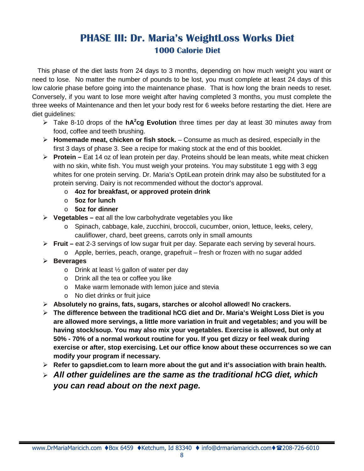# **PHASE III: Dr. Maria's WeightLoss Works Diet 1000 Calorie Diet**

This phase of the diet lasts from 24 days to 3 months, depending on how much weight you want or need to lose. No matter the number of pounds to be lost, you must complete at least 24 days of this low calorie phase before going into the maintenance phase. That is how long the brain needs to reset. Conversely, if you want to lose more weight after having completed 3 months, you must complete the three weeks of Maintenance and then let your body rest for 6 weeks before restarting the diet. Here are diet guidelines:

- Take 8-10 drops of the **hA<sup>2</sup> cg Evolution** three times per day at least 30 minutes away from food, coffee and teeth brushing.
- **Homemade meat, chicken or fish stock.** Consume as much as desired, especially in the first 3 days of phase 3. See a recipe for making stock at the end of this booklet.
- **Protein –** Eat 14 oz of lean protein per day. Proteins should be lean meats, white meat chicken with no skin, white fish. You must weigh your proteins. You may substitute 1 egg with 3 egg whites for one protein serving. Dr. Maria's OptiLean protein drink may also be substituted for a protein serving. Dairy is not recommended without the doctor's approval.
	- o **4oz for breakfast, or approved protein drink**
	- o **5oz for lunch**
	- o **5oz for dinner**
- **Vegetables –** eat all the low carbohydrate vegetables you like
	- o Spinach, cabbage, kale, zucchini, broccoli, cucumber, onion, lettuce, leeks, celery, cauliflower, chard, beet greens, carrots only in small amounts
- **Fruit –** eat 2-3 servings of low sugar fruit per day. Separate each serving by several hours.
- $\circ$  Apple, berries, peach, orange, grapefruit fresh or frozen with no sugar added **Beverages**
	- $\circ$  Drink at least  $\frac{1}{2}$  gallon of water per day
		- o Drink all the tea or coffee you like
		- o Make warm lemonade with lemon juice and stevia
		- o No diet drinks or fruit juice
- **Absolutely no grains, fats, sugars, starches or alcohol allowed! No crackers.**
- **The difference between the traditional hCG diet and Dr. Maria's Weight Loss Diet is you are allowed more servings, a little more variation in fruit and vegetables; and you will be having stock/soup. You may also mix your vegetables. Exercise is allowed, but only at 50% - 70% of a normal workout routine for you. If you get dizzy or feel weak during exercise or after, stop exercising. Let our office know about these occurrences so we can modify your program if necessary.**
- **Refer to gapsdiet.com to learn more about the gut and it's association with brain health.**
- *All other guidelines are the same as the traditional hCG diet, which you can read about on the next page.*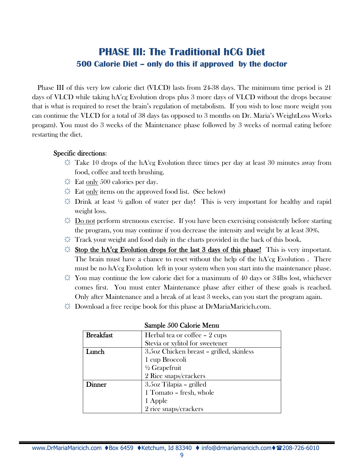# **PHASE III: The Traditional hCG Diet 500 Calorie Diet – only do this if approved by the doctor**

Phase III of this very low calorie diet (VLCD) lasts from 24-38 days. The minimum time period is 21 days of VLCD while taking hA $^{\circ}$ cg Evolution drops plus 3 more days of VLCD without the drops because that is what is required to reset the brain's regulation of metabolism. If you wish to lose more weight you can continue the VLCD for a total of 38 days (as opposed to 3 months on Dr. Maria's WeightLoss Works progam). You must do 3 weeks of the Maintenance phase followed by 3 weeks of normal eating before restarting the diet.

#### Specific directions:

- $\breve{\varphi}$  Take 10 drops of the hA $^{\circ}$ cg Evolution three times per day at least 30 minutes away from food, coffee and teeth brushing.
- $\ddot{\mathcal{L}}$  Eat only 500 calories per day.
- $\Diamond$  Eat only items on the approved food list. (See below)
- $\uplus$  Drink at least ½ gallon of water per day! This is very important for healthy and rapid weight loss.
- $\ddot{\odot}$  Do not perform strenuous exercise. If you have been exercising consistently before starting the program, you may continue if you decrease the intensity and weight by at least 30%.
- $\varphi$  Track your weight and food daily in the charts provided in the back of this book.
- $\varphi$  Stop the hA<sup>2</sup>cg Evolution drops for the last 3 days of this phase! This is very important. The brain must have a chance to reset without the help of the  $hA^2cg$  Evolution . There must be no  $hA^2$ cg Evolution  $\;$  left in your system when you start into the maintenance phase.
- $\uplus$  You may continue the low calorie diet for a maximum of 40 days or 34lbs lost, whichever comes first. You must enter Maintenance phase after either of these goals is reached. Only after Maintenance and a break of at least 3 weeks, can you start the program again.
- $\dotimes$  Download a free recipe book for this phase at DrMariaMaricich.com.

| <b>Breakfast</b> | Herbal tea or coffee – 2 cups            |
|------------------|------------------------------------------|
|                  | Stevia or xylitol for sweetener          |
| Lunch            | 3.5oz Chicken breast - grilled, skinless |
|                  | 1 cup Broccoli                           |
|                  | $\frac{1}{2}$ Grapefruit                 |
|                  | 2 Rice snaps/crackers                    |
| <b>Dinner</b>    | 3.5oz Tilapia - grilled                  |
|                  | 1 Tomato - fresh, whole                  |
|                  | 1 Apple                                  |
|                  | 2 rice snaps/crackers                    |

#### Sample 500 Calorie Menu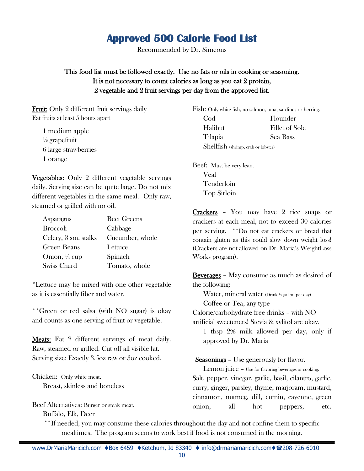# **Approved 500 Calorie Food List**

Recommended by Dr. Simeons

This food list must be followed exactly. Use no fats or oils in cooking or seasoning. It is not necessary to count calories as long as you eat 2 protein, 2 vegetable and 2 fruit servings per day from the approved list.

Fruit: Only 2 different fruit servings daily Eat fruits at least 5 hours apart

1 medium apple  $\frac{1}{2}$  grapefruit 6 large strawberries 1 orange

Vegetables: Only 2 different vegetable servings daily. Serving size can be quite large. Do not mix different vegetables in the same meal. Only raw, steamed or grilled with no oil.

| <b>Asparagus</b>         | <b>Beet Greens</b> |
|--------------------------|--------------------|
| <b>Broccoli</b>          | Cabbage            |
| Celery, 3 sm. stalks     | Cucumber, whole    |
| Green Beans              | Lettuce            |
| Onion, $\frac{1}{4}$ cup | Spinach            |
| Swiss Chard              | Tomato, whole      |

\*Lettuce may be mixed with one other vegetable as it is essentially fiber and water.

\*\*Green or red salsa (with NO sugar) is okay and counts as one serving of fruit or vegetable.

**Meats:** Eat 2 different servings of meat daily. Raw, steamed or grilled. Cut off all visible fat. Serving size: Exactly 3.5oz raw or 3oz cooked.

Chicken: Only white meat.

Breast, skinless and boneless

Beef Alternatives: Burger or steak meat.

Buffalo, Elk, Deer

Fish: Only white fish, no salmon, tuna, sardines or herring. Cod Flounder Halibut Fillet of Sole Tilapia Sea Bass

Shellfish (shrimp, crab or lobster)

Beef: Must be very lean. Veal Tenderloin Top Sirloin

Crackers – You may have 2 rice snaps or crackers at each meal, not to exceed 30 calories per serving. \*\*Do not eat crackers or bread that contain gluten as this could slow down weight loss! (Crackers are not allowed on Dr. Maria's WeightLoss Works program).

Beverages – May consume as much as desired of the following:

Water, mineral water (Drink ½ gallon per day)

Coffee or Tea, any type

Calorie/carbohydrate free drinks – with NO artificial sweeteners! Stevia & xylitol are okay.

1 tbsp 2% milk allowed per day, only if approved by Dr. Maria

**Seasonings** – Use generously for flavor.

Lemon juice – Use for flavoring beverages or cooking. Salt, pepper, vinegar, garlic, basil, cilantro, garlic, curry, ginger, parsley, thyme, marjoram, mustard, cinnamon, nutmeg, dill, cumin, cayenne, green onion, all hot peppers, etc.

\*\*If needed, you may consume these calories throughout the day and not confine them to specific mealtimes. The program seems to work best if food is not consumed in the morning.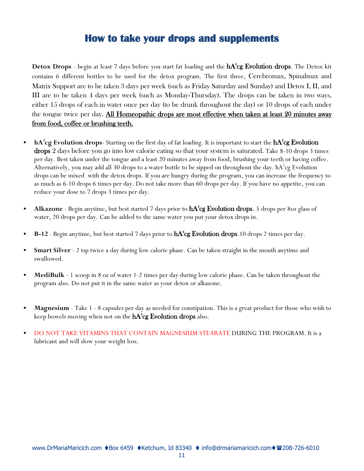# **How to take your drops and supplements**

**Detox Drops** - begin at least 7 days before you start fat loading and the  $hA^2cg$  Evolution drops. The Detox kit contains 6 different bottles to be used for the detox program. The first three, Cerebromax, Spinalmax and Matrix Support are to be taken 3 days per week (such as Friday Saturday and Sunday) and Detox I, II, and III are to be taken 4 days per week (such as Monday-Thursday). The drops can be taken in two ways, either 15 drops of each in water once per day (to be drunk throughout the day) or 10 drops of each under the tongue twice per day. All Homeopathic drops are most effective when taken at least 20 minutes away from food, coffee or brushing teeth.

- **hA**<sup>2</sup>cg Evolution drops- Starting on the first day of fat loading. It is important to start the  $hA^2c$ g Evolution drops 2 days before you go into low calorie eating so that your system is saturated. Take 8-10 drops 3 times per day. Best taken under the tongue and a least 20 minutes away from food, brushing your teeth or having coffee. Alternatively, you may add all 30 drops to a water bottle to be sipped on throughout the day.  $hA^2cg$  Evolution drops can be mixed with the detox drops. If you are hungry during the program, you can increase the frequency to as much as 6-10 drops 6 times per day. Do not take more than 60 drops per day. If you have no appetite, you can reduce your dose to 7 drops 3 times per day.
- **Alkazone** Begin anytime, but best started 7 days prior to  $hA^2cg$  Evolution drops. 5 drops per 80z glass of water, 20 drops per day. Can be added to the same water you put your detox drops in.
- **B-12** Begin anytime, but best started 7 days prior to  $hA^2cg$  Evolution drops.10 drops 2 times per day.
- **Smart Silver** 2 tsp twice a day during low calorie phase. Can be taken straight in the mouth anytime and swallowed.
- **MediBulk** 1 scoop in 8 oz of water 1-2 times per day during low calorie phase. Can be taken throughout the program also. Do not put it in the same water as your detox or alkazone.
- **Magnesium** Take 1 8 capsules per day as needed for constipation. This is a great product for those who wish to keep bowels moving when not on the  $\text{hA}^{\text{2}}\text{cg}$  Evolution drops also.
- DO NOT TAKE VITAMINS THAT CONTAIN MAGNESIUM STEARATE DURING THE PROGRAM. It is a lubricant and will slow your weight loss.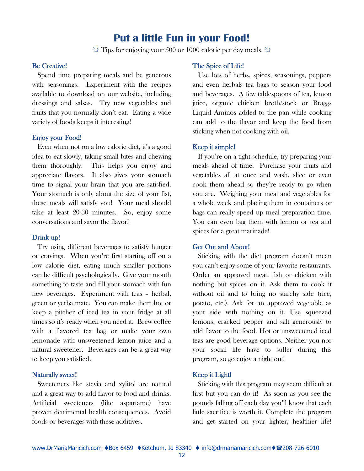### **Put a little Fun in your Food!**

 $\hat{\varphi}$  Tips for enjoying your 500 or 1000 calorie per day meals.  $\hat{\varphi}$ 

#### Be Creative!

Spend time preparing meals and be generous with seasonings. Experiment with the recipes available to download on our website, including dressings and salsas. Try new vegetables and fruits that you normally don't eat. Eating a wide variety of foods keeps it interesting!

#### Enjoy your Food!

Even when not on a low calorie diet, it's a good idea to eat slowly, taking small bites and chewing them thoroughly. This helps you enjoy and appreciate flavors. It also gives your stomach time to signal your brain that you are satisfied. Your stomach is only about the size of your fist, these meals will satisfy you! Your meal should take at least 20-30 minutes. So, enjoy some conversations and savor the flavor!

#### Drink up!

Try using different beverages to satisfy hunger or cravings. When you're first starting off on a low calorie diet, eating much smaller portions can be difficult psychologically. Give your mouth something to taste and fill your stomach with fun new beverages. Experiment with teas – herbal, green or yerba mate. You can make them hot or keep a pitcher of iced tea in your fridge at all times so it's ready when you need it. Brew coffee with a flavored tea bag or make your own lemonade with unsweetened lemon juice and a natural sweetener. Beverages can be a great way to keep you satisfied.

#### Naturally sweet!

Sweeteners like stevia and xylitol are natural and a great way to add flavor to food and drinks. Artificial sweeteners (like aspartame) have proven detrimental health consequences. Avoid foods or beverages with these additives.

#### The Spice of Life!

Use lots of herbs, spices, seasonings, peppers and even herbals tea bags to season your food and beverages. A few tablespoons of tea, lemon juice, organic chicken broth/stock or Braggs Liquid Aminos added to the pan while cooking can add to the flavor and keep the food from sticking when not cooking with oil.

#### Keep it simple!

If you're on a tight schedule, try preparing your meals ahead of time. Purchase your fruits and vegetables all at once and wash, slice or even cook them ahead so they're ready to go when you are. Weighing your meat and vegetables for a whole week and placing them in containers or bags can really speed up meal preparation time. You can even bag them with lemon or tea and spices for a great marinade!

#### Get Out and About!

Sticking with the diet program doesn't mean you can't enjoy some of your favorite restaurants. Order an approved meat, fish or chicken with nothing but spices on it. Ask them to cook it without oil and to bring no starchy side (rice, potato, etc.). Ask for an approved vegetable as your side with nothing on it. Use squeezed lemons, cracked pepper and salt generously to add flavor to the food. Hot or unsweetened iced teas are good beverage options. Neither you nor your social life have to suffer during this program, so go enjoy a night out!

#### Keep it Light!

Sticking with this program may seem difficult at first but you can do it! As soon as you see the pounds falling off each day you'll know that each little sacrifice is worth it. Complete the program and get started on your lighter, healthier life!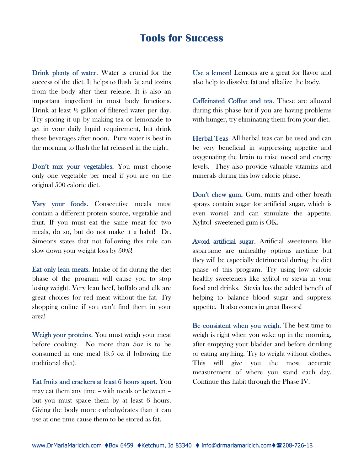## **Tools for Success**

Drink plenty of water. Water is crucial for the success of the diet. It helps to flush fat and toxins from the body after their release. It is also an important ingredient in most body functions. Drink at least ½ gallon of filtered water per day. Try spicing it up by making tea or lemonade to get in your daily liquid requirement, but drink these beverages after noon. Pure water is best in the morning to flush the fat released in the night.

Don't mix your vegetables. You must choose only one vegetable per meal if you are on the original 500 calorie diet.

Vary your foods. Consecutive meals must contain a different protein source, vegetable and fruit. If you must eat the same meat for two meals, do so, but do not make it a habit! Dr. Simeons states that not following this rule can slow down your weight loss by 50%!

Eat only lean meats. Intake of fat during the diet phase of the program will cause you to stop losing weight. Very lean beef, buffalo and elk are great choices for red meat without the fat. Try shopping online if you can't find them in your area!

Weigh your proteins. You must weigh your meat before cooking. No more than 5oz is to be consumed in one meal (3.5 oz if following the traditional diet).

Eat fruits and crackers at least 6 hours apart. You may eat them any time – with meals or between – but you must space them by at least 6 hours. Giving the body more carbohydrates than it can use at one time cause them to be stored as fat.

Use a lemon! Lemons are a great for flavor and also help to dissolve fat and alkalize the body.

Caffeinated Coffee and tea. These are allowed during this phase but if you are having problems with hunger, try eliminating them from your diet.

Herbal Teas. All herbal teas can be used and can be very beneficial in suppressing appetite and oxygenating the brain to raise mood and energy levels. They also provide valuable vitamins and minerals during this low calorie phase.

Don't chew gum. Gum, mints and other breath sprays contain sugar (or artificial sugar, which is even worse) and can stimulate the appetite. Xylitol sweetened gum is OK.

Avoid artificial sugar. Artificial sweeteners like aspartame are unhealthy options anytime but they will be especially detrimental during the diet phase of this program. Try using low calorie healthy sweeteners like xylitol or stevia in your food and drinks. Stevia has the added benefit of helping to balance blood sugar and suppress appetite. It also comes in great flavors!

Be consistent when you weigh. The best time to weigh is right when you wake up in the morning, after emptying your bladder and before drinking or eating anything. Try to weight without clothes. This will give you the most accurate measurement of where you stand each day. Continue this habit through the Phase IV.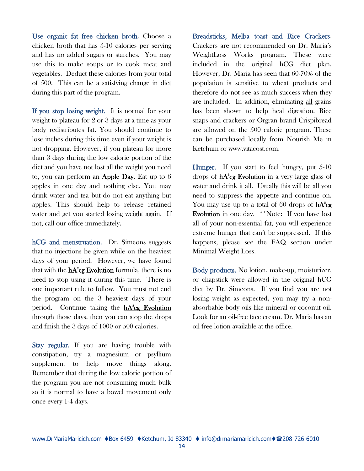Use organic fat free chicken broth. Choose a chicken broth that has 5-10 calories per serving and has no added sugars or starches. You may use this to make soups or to cook meat and vegetables. Deduct these calories from your total of 500. This can be a satisfying change in diet during this part of the program.

If you stop losing weight. It is normal for your weight to plateau for 2 or 3 days at a time as your body redistributes fat. You should continue to lose inches during this time even if your weight is not dropping. However, if you plateau for more than 3 days during the low calorie portion of the diet and you have not lost all the weight you need to, you can perform an Apple Day. Eat up to 6 apples in one day and nothing else. You may drink water and tea but do not eat anything but apples. This should help to release retained water and get you started losing weight again. If not, call our office immediately.

hCG and menstruation. Dr. Simeons suggests that no injections be given while on the heaviest days of your period. However, we have found that with the  $\mathbf{h} \mathbf{A}^2 \mathbf{c} \mathbf{g}$  Evolution formula, there is no need to stop using it during this time. There is one important rule to follow. You must not end the program on the 3 heaviest days of your period. Continue taking the **hA<sup>2</sup>cg Evolution** through those days, then you can stop the drops and finish the 3 days of 1000 or 500 calories.

Stay regular. If you are having trouble with constipation, try a magnesium or psyllium supplement to help move things along. Remember that during the low calorie portion of the program you are not consuming much bulk so it is normal to have a bowel movement only once every 1-4 days.

Breadsticks, Melba toast and Rice Crackers. Crackers are not recommended on Dr. Maria's WeightLoss Works program. These were included in the original hCG diet plan. However, Dr. Maria has seen that 60-70% of the population is sensitive to wheat products and therefore do not see as much success when they are included. In addition, eliminating all grains has been shown to help heal digestion. Rice snaps and crackers or Orgran brand Crispibread are allowed on the 500 calorie program. These can be purchased locally from Nourish Me in Ketchum or www.vitacost.com.

Hunger. If you start to feel hungry, put 5-10 drops of  $hA^2cg$  Evolution in a very large glass of water and drink it all. Usually this will be all you need to suppress the appetite and continue on. You may use up to a total of 60 drops of  $hA^2cg$ Evolution in one day. \*\*Note: If you have lost all of your non-essential fat, you will experience extreme hunger that can't be suppressed. If this happens, please see the FAQ section under Minimal Weight Loss.

Body products. No lotion, make-up, moisturizer, or chapstick were allowed in the original hCG diet by Dr. Simeons. If you find you are not losing weight as expected, you may try a nonabsorbable body oils like mineral or coconut oil. Look for an oil-free face cream. Dr. Maria has an oil free lotion available at the office.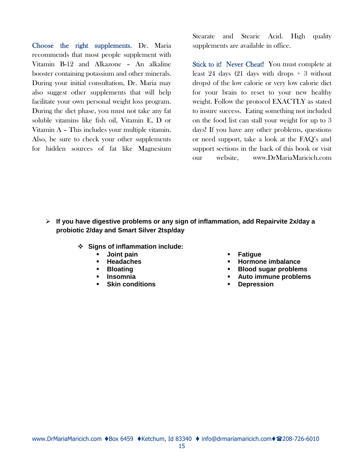Choose the right supplements. Dr. Maria recommends that most people supplement with Vitamin B-12 and Alkazone – An alkaline booster containing potassium and other minerals. During your initial consultation, Dr. Maria may also suggest other supplements that will help facilitate your own personal weight loss program. During the diet phase, you must not take any fat soluble vitamins like fish oil, Vitamin E, D or Vitamin A – This includes your multiple vitamin. Also, be sure to check your other supplements for hidden sources of fat like Magnesium

Stearate and Stearic Acid. High quality supplements are available in office.

Stick to it! Never Cheat! You must complete at least 24 days (21 days with drops  $+3$  without drops) of the low calorie or very low calorie diet for your brain to reset to your new healthy weight. Follow the protocol EXACTLY as stated to insure success. Eating something not included on the food list can stall your weight for up to 3 days! If you have any other problems, questions or need support, take a look at the FAQ's and support sections in the back of this book or visit our website, www.DrMariaMaricich.com

- **If you have digestive problems or any sign of inflammation, add Repairvite 2x/day a probiotic 2/day and Smart Silver 2tsp/day**
	- **Signs of inflammation include:**
		- **Joint pain**
		- **Headaches**
		- **Bloating**
		- **Insomnia**
		- **Skin conditions**
- **Fatigue**
- **Hormone imbalance**
- **Blood sugar problems**
- **Auto immune problems**
- **Depression**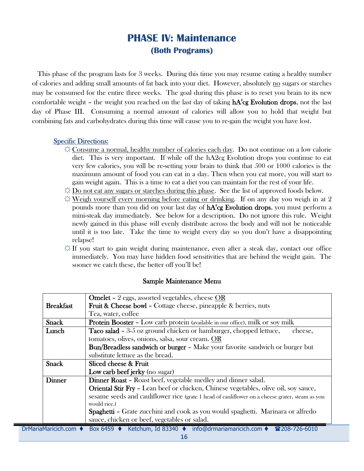# **PHASE IV: Maintenance (Both Programs)**

This phase of the program lasts for 3 weeks. During this time you may resume eating a healthy number of calories and adding small amounts of fat back into your diet. However, absolutely no sugars or starches may be consumed for the entire three weeks. The goal during this phase is to reset you brain to its new comfortable weight – the weight you reached on the last day of taking  $\text{hA}^{\text{2}}$ cg Evolution drops, not the last day of Phase III. Consuming a normal amount of calories will allow you to hold that weight but combining fats and carbohydrates during this time will cause you to re-gain the weight you have lost.

#### Specific Directions:

- ☼ Consume a normal, healthy number of calories each day. Do not continue on a low calorie diet. This is very important. If while off the hA2cg Evolution drops you continue to eat very few calories, you will be re-setting your brain to think that 500 or 1000 calories is the maximum amount of food you can eat in a day. Then when you eat more, you will start to gain weight again. This is a time to eat a diet you can maintain for the rest of your life.
- $\Diamond$  Do not eat any sugars or starches during this phase. See the list of approved foods below.
- $\Diamond$  Weigh yourself every morning before eating or drinking. If on any day you weigh in at 2 pounds more than you did on your last day of  $\mathrm{hA}^2\mathrm{cg}$  Evolution drops, you must perform a mini-steak day immediately. See below for a description. Do not ignore this rule. Weight newly gained in this phase will evenly distribute across the body and will not be noticeable until it is too late. Take the time to weight every day so you don't have a disappointing relapse!
- $\dotimes$  If you start to gain weight during maintenance, even after a steak day, contact our office immediately. You may have hidden food sensitivities that are behind the weight gain. The sooner we catch these, the better off you'll be!

|                       | <b>Omelet -</b> 2 eggs, assorted vegetables, cheese OR                                          |  |  |  |
|-----------------------|-------------------------------------------------------------------------------------------------|--|--|--|
| <b>Breakfast</b>      | <b>Fruit &amp; Cheese bowl - Cottage cheese, pineapple &amp; berries, nuts</b>                  |  |  |  |
|                       | Tea, water, coffee                                                                              |  |  |  |
| <b>Snack</b>          | <b>Protein Booster -</b> Low carb protein (available in our office), milk or soy milk           |  |  |  |
| Lunch                 | <b>Taco salad -</b> 3-5 oz ground chicken or hamburger, chopped lettuce,<br>cheese,             |  |  |  |
|                       | tomatoes, olives, onions, salsa, sour cream. OR                                                 |  |  |  |
|                       | Bun/Breadless sandwich or burger - Make your favorite sandwich or burger but                    |  |  |  |
|                       | substitute lettuce as the bread.                                                                |  |  |  |
| <b>Snack</b>          | Sliced cheese & Fruit                                                                           |  |  |  |
|                       | Low carb beef jerky (no sugar)                                                                  |  |  |  |
| Dinner                | <b>Dinner Roast - Roast beef, vegetable medley and dinner salad.</b>                            |  |  |  |
|                       | <b>Oriental Stir Fry - Lean beef or chicken, Chinese vegetables, olive oil, soy sauce,</b>      |  |  |  |
|                       | sesame seeds and cauliflower rice (grate 1 head of cauliflower on a cheese grater, steam as you |  |  |  |
|                       | would rice.)                                                                                    |  |  |  |
|                       | <b>Spaghetti – Grate zucchini and cook as you would spaghetti. Marinara or alfredo</b>          |  |  |  |
|                       | sauce, chicken or beef, vegetables or salad.                                                    |  |  |  |
| DrMariaMaricich.com ♦ | Box 6459 ♦ Ketchum, Id 83340 ♦ info@drmariamaricich.com ♦ 208-726-6010                          |  |  |  |

#### Sample Maintenance Menu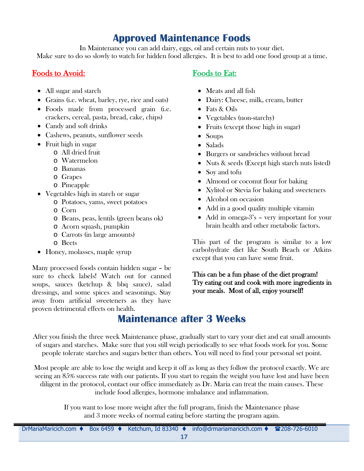# **Approved Maintenance Foods**

In Maintenance you can add dairy, eggs, oil and certain nuts to your diet. Make sure to do so slowly to watch for hidden food allergies. It is best to add one food group at a time.

### Foods to Avoid:

- All sugar and starch
- Grains (i.e. wheat, barley, rye, rice and oats)
- Foods made from processed grain (i.e. crackers, cereal, pasta, bread, cake, chips)
- Candy and soft drinks
- Cashews, peanuts, sunflower seeds
- Fruit high in sugar
	- o All dried fruit
		- o Watermelon
		- o Bananas
		- o Grapes
	- o Pineapple
- Vegetables high in starch or sugar
	- o Potatoes, yams, sweet potatoes
	- o Corn
	- o Beans, peas, lentils (green beans ok)
	- o Acorn squash, pumpkin
	- o Carrots (in large amounts)
	- o Beets
- Honey, molasses, maple syrup

Many processed foods contain hidden sugar – be sure to check labels! Watch out for canned soups, sauces (ketchup & bbq sauce), salad dressings, and some spices and seasonings. Stay away from artificial sweeteners as they have proven detrimental effects on health.

### Foods to Eat:

- Meats and all fish
- Dairy: Cheese, milk, cream, butter
- Fats & Oils
- Vegetables (non-starchy)
- Fruits (except those high in sugar)
- Soups
- Salads
- Burgers or sandwiches without bread
- Nuts & seeds (Except high starch nuts listed)
- Soy and tofu
- Almond or coconut flour for baking
- Xylitol or Stevia for baking and sweeteners
- Alcohol on occasion
- Add in a good quality multiple vitamin
- Add in omega-3's very important for your brain health and other metabolic factors.

This part of the program is similar to a low carbohydrate diet like South Beach or Atkins except that you can have some fruit.

This can be a fun phase of the diet program! Try eating out and cook with more ingredients in your meals. Most of all, enjoy yourself!

# **Maintenance after 3 Weeks**

After you finish the three week Maintenance phase, gradually start to vary your diet and eat small amounts of sugars and starches. Make sure that you still weigh periodically to see what foods work for you. Some people tolerate starches and sugars better than others. You will need to find your personal set point.

Most people are able to lose the weight and keep it off as long as they follow the protocol exactly. We are seeing an 85% success rate with our patients. If you start to regain the weight you have lost and have been diligent in the protocol, contact our office immediately as Dr. Maria can treat the main causes. These include food allergies, hormone imbalance and inflammation.

> If you want to lose more weight after the full program, finish the Maintenance phase and 3 more weeks of normal eating before starting the program again.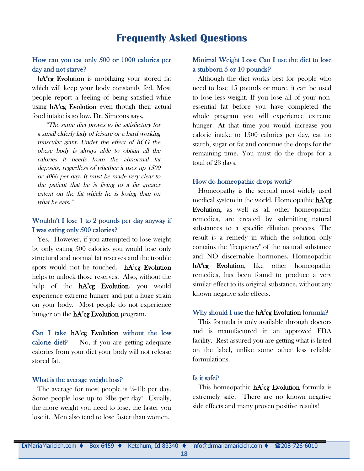### **Frequently Asked Questions**

#### How can you eat only 500 or 1000 calories per day and not starve?

hA<sup>2</sup>cg Evolution is mobilizing your stored fat which will keep your body constantly fed. Most people report a feeling of being satisfied while using  $\mathbf{h} \mathbf{A}^2 \mathbf{c} \mathbf{g}$  Evolution even though their actual food intake is so low. Dr. Simeons says,

"The same diet proves to be satisfactory for <sup>a</sup> small elderly lady of leisure or <sup>a</sup> hard working muscular giant. Under the effect of hCG the obese body is always able to obtain all the calories it needs from the abnormal fat deposits, regardless of whether it uses up <sup>1500</sup> or <sup>4000</sup> per day. It must be made very clear to the patient that he is living to <sup>a</sup> far greater extent on the fat which he is losing than on what he eats."

#### Wouldn't I lose 1 to 2 pounds per day anyway if I was eating only 500 calories?

Yes. However, if you attempted to lose weight by only eating 500 calories you would lose only structural and normal fat reserves and the trouble spots would not be touched. hA<sup>2</sup>cg Evolution helps to unlock those reserves. Also, without the help of the **hA<sup>2</sup>cg Evolution**, you would experience extreme hunger and put a huge strain on your body. Most people do not experience hunger on the  $hA^2cg$  Evolution program.

Can I take  $hA^2cg$  Evolution without the low calorie diet? No, if you are getting adequate calories from your diet your body will not release stored fat.

#### What is the average weight loss?

The average for most people is ½-1lb per day. Some people lose up to 2lbs per day! Usually, the more weight you need to lose, the faster you lose it. Men also tend to lose faster than women.

#### Minimal Weight Loss: Can I use the diet to lose a stubborn 5 or 10 pounds?

Although the diet works best for people who need to lose 15 pounds or more, it can be used to lose less weight. If you lose all of your nonessential fat before you have completed the whole program you will experience extreme hunger. At that time you would increase you calorie intake to 1500 calories per day, eat no starch, sugar or fat and continue the drops for the remaining time. You must do the drops for a total of 23 days.

#### How do homeopathic drops work?

Homeopathy is the second most widely used medical system in the world. Homeopathic  $\mathbf{hA^2cg}$ Evolution, as well as all other homeopathic remedies, are created by submitting natural substances to a specific dilution process. The result is a remedy in which the solution only contains the "frequency" of the natural substance and NO discernable hormones. Homeopathic hA<sup>2</sup>cg Evolution, like other homeopathic remedies, has been found to produce a very similar effect to its original substance, without any known negative side effects.

#### Why should I use the  $hA^2$ cg Evolution formula?

This formula is only available through doctors and is manufactured in an approved FDA facility. Rest assured you are getting what is listed on the label, unlike some other less reliable formulations.

#### Is it safe?

This homeopathic **hA<sup>2</sup>cg Evolution** formula is extremely safe. There are no known negative side effects and many proven positive results!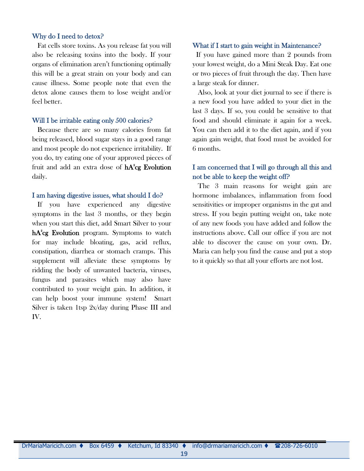#### Why do I need to detox?

Fat cells store toxins. As you release fat you will also be releasing toxins into the body. If your organs of elimination aren't functioning optimally this will be a great strain on your body and can cause illness. Some people note that even the detox alone causes them to lose weight and/or feel better.

#### Will I be irritable eating only 500 calories?

Because there are so many calories from fat being released, blood sugar stays in a good range and most people do not experience irritability. If you do, try eating one of your approved pieces of fruit and add an extra dose of  $\mathrm{hA^2} \mathrm{cg}$  Evolution daily.

#### I am having digestive issues, what should I do?

If you have experienced any digestive symptoms in the last 3 months, or they begin when you start this diet, add Smart Silver to your hA<sup>2</sup>cg Evolution program. Symptoms to watch for may include bloating, gas, acid reflux, constipation, diarrhea or stomach cramps. This supplement will alleviate these symptoms by ridding the body of unwanted bacteria, viruses, fungus and parasites which may also have contributed to your weight gain. In addition, it can help boost your immune system! Smart Silver is taken 1tsp 2x/day during Phase III and IV.

#### What if I start to gain weight in Maintenance?

If you have gained more than 2 pounds from your lowest weight, do a Mini Steak Day. Eat one or two pieces of fruit through the day. Then have a large steak for dinner.

Also, look at your diet journal to see if there is a new food you have added to your diet in the last 3 days. If so, you could be sensitive to that food and should eliminate it again for a week. You can then add it to the diet again, and if you again gain weight, that food must be avoided for 6 months.

#### I am concerned that I will go through all this and not be able to keep the weight off?

The 3 main reasons for weight gain are hormone imbalances, inflammation from food sensitivities or improper organisms in the gut and stress. If you begin putting weight on, take note of any new foods you have added and follow the instructions above. Call our office if you are not able to discover the cause on your own. Dr. Maria can help you find the cause and put a stop to it quickly so that all your efforts are not lost.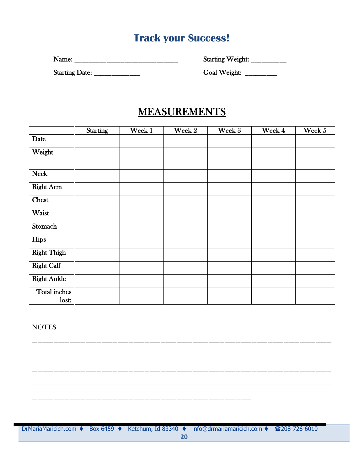# **Track your Success!**

Name: \_\_\_\_\_\_\_\_\_\_\_\_\_\_\_\_\_\_\_\_\_\_\_\_\_\_\_\_\_ Starting Weight: \_\_\_\_\_\_\_\_\_\_

Starting Date: \_\_\_\_\_\_\_\_\_\_\_\_\_ Goal Weight: \_\_\_\_\_\_\_\_\_

# MEASUREMENTS

|                       | Starting | Week 1 | Week 2 | Week 3 | Week 4 | Week 5 |
|-----------------------|----------|--------|--------|--------|--------|--------|
| Date                  |          |        |        |        |        |        |
| Weight                |          |        |        |        |        |        |
| <b>Neck</b>           |          |        |        |        |        |        |
| <b>Right Arm</b>      |          |        |        |        |        |        |
| <b>Chest</b>          |          |        |        |        |        |        |
| Waist                 |          |        |        |        |        |        |
| Stomach               |          |        |        |        |        |        |
| Hips                  |          |        |        |        |        |        |
| <b>Right Thigh</b>    |          |        |        |        |        |        |
| <b>Right Calf</b>     |          |        |        |        |        |        |
| <b>Right Ankle</b>    |          |        |        |        |        |        |
| Total inches<br>lost: |          |        |        |        |        |        |

NOTES \_\_\_\_\_\_\_\_\_\_\_\_\_\_\_\_\_\_\_\_\_\_\_\_\_\_\_\_\_\_\_\_\_\_\_\_\_\_\_\_\_\_\_\_\_\_\_\_\_\_\_\_\_\_\_\_\_\_\_\_\_\_\_\_\_\_\_\_\_\_\_\_\_\_\_\_ \_\_\_\_\_\_\_\_\_\_\_\_\_\_\_\_\_\_\_\_\_\_\_\_\_\_\_\_\_\_\_\_\_\_\_\_\_\_\_\_\_\_\_\_\_\_\_\_\_\_\_\_\_\_\_\_

\_\_\_\_\_\_\_\_\_\_\_\_\_\_\_\_\_\_\_\_\_\_\_\_\_\_\_\_\_\_\_\_\_\_\_\_\_\_\_\_\_\_\_\_\_\_\_\_\_\_\_\_\_\_\_\_

\_\_\_\_\_\_\_\_\_\_\_\_\_\_\_\_\_\_\_\_\_\_\_\_\_\_\_\_\_\_\_\_\_\_\_\_\_\_\_\_\_\_\_\_\_\_\_\_\_\_\_\_\_\_\_\_

\_\_\_\_\_\_\_\_\_\_\_\_\_\_\_\_\_\_\_\_\_\_\_\_\_\_\_\_\_\_\_\_\_\_\_\_\_\_\_\_\_\_\_\_\_\_\_\_\_\_\_\_\_\_\_\_

DrMariaMaricich.com ♦ Box 6459 ♦ Ketchum, Id 83340 ♦ info@drmariamaricich.com ♦ 208-726-6010

\_\_\_\_\_\_\_\_\_\_\_\_\_\_\_\_\_\_\_\_\_\_\_\_\_\_\_\_\_\_\_\_\_\_\_\_\_\_\_\_\_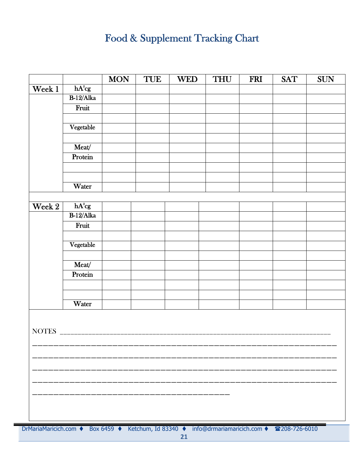# Food & Supplement Tracking Chart

|              |              | <b>MON</b> | <b>TUE</b> | <b>WED</b> | <b>THU</b> | <b>FRI</b> | <b>SAT</b> | <b>SUN</b> |
|--------------|--------------|------------|------------|------------|------------|------------|------------|------------|
| Week 1       | $hA^2cg$     |            |            |            |            |            |            |            |
|              | $B-12/A$ lka |            |            |            |            |            |            |            |
|              | Fruit        |            |            |            |            |            |            |            |
|              |              |            |            |            |            |            |            |            |
|              | Vegetable    |            |            |            |            |            |            |            |
|              |              |            |            |            |            |            |            |            |
|              | Meat/        |            |            |            |            |            |            |            |
|              | Protein      |            |            |            |            |            |            |            |
|              |              |            |            |            |            |            |            |            |
|              |              |            |            |            |            |            |            |            |
|              | Water        |            |            |            |            |            |            |            |
|              |              |            |            |            |            |            |            |            |
| Week 2       | $hA^2cg$     |            |            |            |            |            |            |            |
|              | $B-12/Alka$  |            |            |            |            |            |            |            |
|              | Fruit        |            |            |            |            |            |            |            |
|              |              |            |            |            |            |            |            |            |
|              | Vegetable    |            |            |            |            |            |            |            |
|              |              |            |            |            |            |            |            |            |
|              | Meat/        |            |            |            |            |            |            |            |
|              | Protein      |            |            |            |            |            |            |            |
|              |              |            |            |            |            |            |            |            |
|              |              |            |            |            |            |            |            |            |
|              | Water        |            |            |            |            |            |            |            |
|              |              |            |            |            |            |            |            |            |
|              |              |            |            |            |            |            |            |            |
| <b>NOTES</b> |              |            |            |            |            |            |            |            |
|              |              |            |            |            |            |            |            |            |
|              |              |            |            |            |            |            |            |            |
|              |              |            |            |            |            |            |            |            |
|              |              |            |            |            |            |            |            |            |
|              |              |            |            |            |            |            |            |            |
|              |              |            |            |            |            |            |            |            |
|              |              |            |            |            |            |            |            |            |
|              |              |            |            |            |            |            |            |            |
|              |              |            |            |            |            |            |            |            |

DrMariaMaricich.com ♦ Box 6459 ♦ Ketchum, Id 83340 ♦ info@drmariamaricich.com ♦ 208-726-6010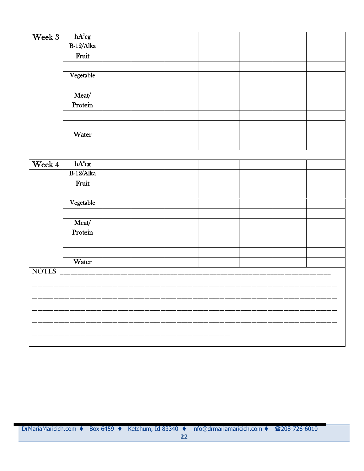| Week 3 | $hA^2cg$    |  |  |  |  |
|--------|-------------|--|--|--|--|
|        | $B-12/A$ ka |  |  |  |  |
|        | Fruit       |  |  |  |  |
|        |             |  |  |  |  |
|        | Vegetable   |  |  |  |  |
|        |             |  |  |  |  |
|        | Meat/       |  |  |  |  |
|        | Protein     |  |  |  |  |
|        |             |  |  |  |  |
|        |             |  |  |  |  |
|        | Water       |  |  |  |  |
|        |             |  |  |  |  |
|        |             |  |  |  |  |
| Week 4 | $hA^2cg$    |  |  |  |  |
|        | $B-12/A$ ka |  |  |  |  |
|        | Fruit       |  |  |  |  |
|        |             |  |  |  |  |
|        | Vegetable   |  |  |  |  |
|        |             |  |  |  |  |
|        | Meat/       |  |  |  |  |
|        | Protein     |  |  |  |  |
|        |             |  |  |  |  |
|        |             |  |  |  |  |
|        | Water       |  |  |  |  |
| NOTES  |             |  |  |  |  |
|        |             |  |  |  |  |
|        |             |  |  |  |  |
|        |             |  |  |  |  |
|        |             |  |  |  |  |
|        |             |  |  |  |  |
|        |             |  |  |  |  |
|        |             |  |  |  |  |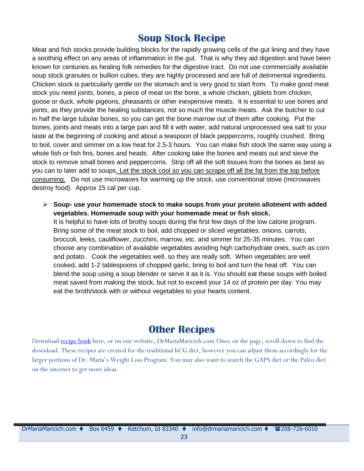# **Soup Stock Recipe**

Meat and fish stocks provide building blocks for the rapidly growing cells of the gut lining and they have a soothing effect on any areas of inflammation in the gut. That is why they aid digestion and have been known for centuries as healing folk remedies for the digestive tract. Do not use commercially available soup stock granules or bullion cubes, they are highly processed and are full of detrimental ingredients. Chicken stock is particularly gentle on the stomach and is very good to start from. To make good meat stock you need joints, bones, a piece of meat on the bone, a whole chicken, giblets from chicken, goose or duck, whole pigeons, pheasants or other inexpensive meats. It is essential to use bones and joints, as they provide the healing substances, not so much the muscle meats. Ask the butcher to cut in half the large tubular bones, so you can get the bone marrow out of them after cooking. Put the bones, joints and meats into a large pan and fill it with water, add natural unprocessed sea salt to your taste at the beginning of cooking and about a teaspoon of black peppercorns, roughly crushed. Bring to boil, cover and simmer on a low heat for 2.5-3 hours. You can make fish stock the same way using a whole fish or fish fins, bones and heads. After cooking take the bones and meats out and sieve the stock to remove small bones and peppercorns. Strip off all the soft tissues from the bones as best as you can to later add to soups. Let the stock cool so you can scrape off all the fat from the top before consuming. Do not use microwaves for warming up the stock, use conventional stove (microwaves destroy food). Approx 15 cal per cup.

 **Soup- use your homemade stock to make soups from your protein allotment with added vegetables. Homemade soup with your homemade meat or fish stock.** It is helpful to have lots of brothy soups during the first few days of the low calorie program. Bring some of the meat stock to boil, add chopped or sliced vegetables: onions, carrots, broccoli, leeks, cauliflower, zucchini, marrow, etc. and simmer for 25-35 minutes. You can choose any combination of available vegetables avoiding high carbohydrate ones, such as corn and potato. Cook the vegetables well, so they are really soft. When vegetables are well cooked, add 1-2 tablespoons of chopped garlic, bring to boil and turn the heat off. You can blend the soup using a soup blender or serve it as it is. You should eat these soups with boiled meat saved from making the stock, but not to exceed your 14 oz of protein per day. You may eat the broth/stock with or without vegetables to your hearts content.

# **Other Recipes**

Download [recipe book](http://drmariamaricich.com/custom_content/c_135366_hcgdietrapid_weight_loss.html) here, or on our website, DrMariaMaricich.com Once on the page, scroll down to find the download. These recipes are created for the traditional hCG diet, however you can adjust them accordingly for the larger portions of Dr. Maria's Weight Loss Program. You may also want to search the GAPS diet or the Paleo diet on the internet to get more ideas.